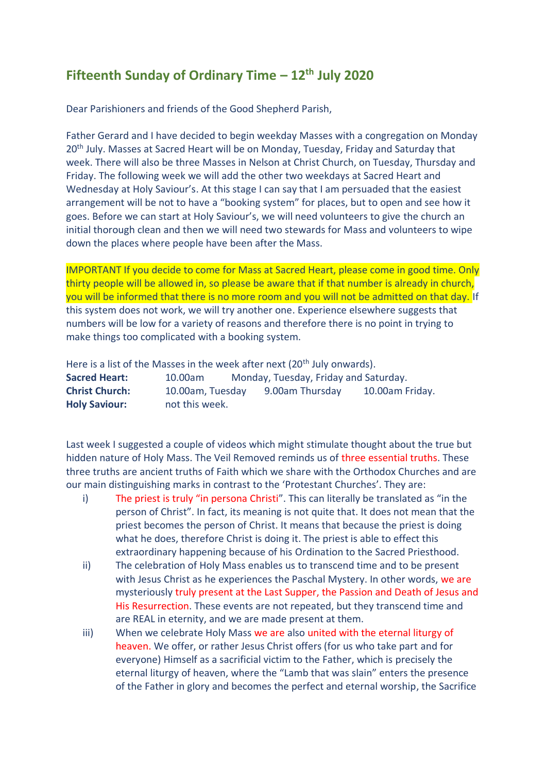## **Fifteenth Sunday of Ordinary Time – 12th July 2020**

Dear Parishioners and friends of the Good Shepherd Parish,

Father Gerard and I have decided to begin weekday Masses with a congregation on Monday 20<sup>th</sup> July. Masses at Sacred Heart will be on Monday, Tuesday, Friday and Saturday that week. There will also be three Masses in Nelson at Christ Church, on Tuesday, Thursday and Friday. The following week we will add the other two weekdays at Sacred Heart and Wednesday at Holy Saviour's. At this stage I can say that I am persuaded that the easiest arrangement will be not to have a "booking system" for places, but to open and see how it goes. Before we can start at Holy Saviour's, we will need volunteers to give the church an initial thorough clean and then we will need two stewards for Mass and volunteers to wipe down the places where people have been after the Mass.

IMPORTANT If you decide to come for Mass at Sacred Heart, please come in good time. Only thirty people will be allowed in, so please be aware that if that number is already in church, you will be informed that there is no more room and you will not be admitted on that day. If this system does not work, we will try another one. Experience elsewhere suggests that numbers will be low for a variety of reasons and therefore there is no point in trying to make things too complicated with a booking system.

Here is a list of the Masses in the week after next (20<sup>th</sup> July onwards). **Sacred Heart:** 10.00am Monday, Tuesday, Friday and Saturday. **Christ Church:** 10.00am, Tuesday 9.00am Thursday 10.00am Friday. **Holy Saviour:** not this week.

Last week I suggested a couple of videos which might stimulate thought about the true but hidden nature of Holy Mass. The Veil Removed reminds us of three essential truths. These three truths are ancient truths of Faith which we share with the Orthodox Churches and are our main distinguishing marks in contrast to the 'Protestant Churches'. They are:

- i) The priest is truly "in persona Christi". This can literally be translated as "in the person of Christ". In fact, its meaning is not quite that. It does not mean that the priest becomes the person of Christ. It means that because the priest is doing what he does, therefore Christ is doing it. The priest is able to effect this extraordinary happening because of his Ordination to the Sacred Priesthood.
- ii) The celebration of Holy Mass enables us to transcend time and to be present with Jesus Christ as he experiences the Paschal Mystery. In other words, we are mysteriously truly present at the Last Supper, the Passion and Death of Jesus and His Resurrection. These events are not repeated, but they transcend time and are REAL in eternity, and we are made present at them.
- iii) When we celebrate Holy Mass we are also united with the eternal liturgy of heaven. We offer, or rather Jesus Christ offers (for us who take part and for everyone) Himself as a sacrificial victim to the Father, which is precisely the eternal liturgy of heaven, where the "Lamb that was slain" enters the presence of the Father in glory and becomes the perfect and eternal worship, the Sacrifice